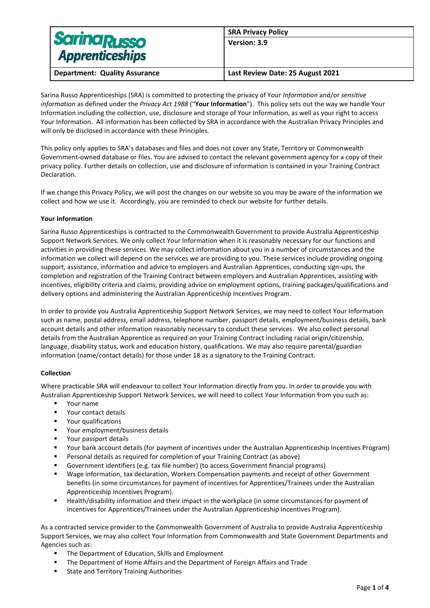| <b>Sarina Russo</b>                  | <b>SRA Privacy Policy</b>        |
|--------------------------------------|----------------------------------|
|                                      | Version: 3.9                     |
| <b>Apprenticeships</b>               |                                  |
| <b>Department: Quality Assurance</b> | Last Review Date: 25 August 2021 |

Sarina Russo Apprenticeships (SRA) is committed to protecting the privacy of Your *Information* and/or *sensitive information* as defined under the *Privacy Act 1988* ("**Your Information**"). This policy sets out the way we handle Your Information including the collection, use, disclosure and storage of Your Information, as well as your right to access Your Information. All information has been collected by SRA in accordance with the Australian Privacy Principles and will only be disclosed in accordance with these Principles.

This policy only applies to SRA's databases and files and does not cover any State, Territory or Commonwealth Government-owned database or files. You are advised to contact the relevant government agency for a copy of their privacy policy. Further details on collection, use and disclosure of information is contained in your Training Contract Declaration.

If we change this Privacy Policy, we will post the changes on our website so you may be aware of the information we collect and how we use it. Accordingly, you are reminded to check our website for further details.

## **Your Information**

Sarina Russo Apprenticeships is contracted to the Commonwealth Government to provide Australia Apprenticeship Support Network Services. We only collect Your Information when it is reasonably necessary for our functions and activities in providing these services. We may collect information about you in a number of circumstances and the information we collect will depend on the services we are providing to you. These services include providing ongoing support, assistance, information and advice to employers and Australian Apprentices, conducting sign-ups, the completion and registration of the Training Contract between employers and Australian Apprentices, assisting with incentives, eligibility criteria and claims, providing advice on employment options, training packages/qualifications and delivery options and administering the Australian Apprenticeship Incentives Program.

In order to provide you Australia Apprenticeship Support Network Services, we may need to collect Your Information such as name, postal address, email address, telephone number, passport details, employment/business details, bank account details and other information reasonably necessary to conduct these services. We also collect personal details from the Australian Apprentice as required on your Training Contract including racial origin/citizenship, language, disability status, work and education history, qualifications. We may also require parental/guardian information (name/contact details) for those under 18 as a signatory to the Training Contract.

# **Collection**

Where practicable SRA will endeavour to collect Your Information directly from you. In order to provide you with Australian Apprenticeship Support Network Services, we will need to collect Your Information from you such as:

- Your name
- Your contact details
- Your qualifications
- Your employment/business details
- Your passport details
- Your bank account details (for payment of incentives under the Australian Apprenticeship Incentives Program)
- Personal details as required for completion of your Training Contract (as above)
- Government identifiers (e.g. tax file number) (to access Government financial programs)
- Wage information, tax declaration, Workers Compensation payments and receipt of other Government benefits (in some circumstances for payment of incentives for Apprentices/Trainees under the Australian Apprenticeship Incentives Program).
- Health/disability information and their impact in the workplace (in some circumstances for payment of incentives for Apprentices/Trainees under the Australian Apprenticeship Incentives Program).

As a contracted service provider to the Commonwealth Government of Australia to provide Australia Apprenticeship Support Services, we may also collect Your Information from Commonwealth and State Government Departments and Agencies such as:

- The Department of Education, Skills and Employment
- The Department of Home Affairs and the Department of Foreign Affairs and Trade
- State and Territory Training Authorities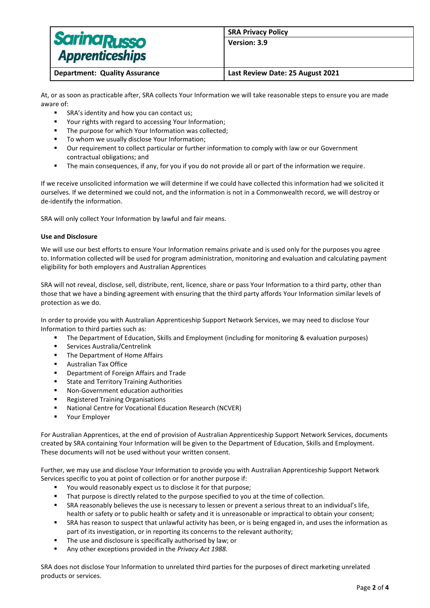| <b>Sarina Russo</b>                  | <b>SRA Privacy Policy</b>        |
|--------------------------------------|----------------------------------|
|                                      | Version: 3.9                     |
| <b>Apprenticeships</b>               |                                  |
| <b>Department: Quality Assurance</b> | Last Review Date: 25 August 2021 |

At, or as soon as practicable after, SRA collects Your Information we will take reasonable steps to ensure you are made aware of:

- SRA's identity and how you can contact us;
- Your rights with regard to accessing Your Information;
- The purpose for which Your Information was collected;
- To whom we usually disclose Your Information;
- Our requirement to collect particular or further information to comply with law or our Government contractual obligations; and
- The main consequences, if any, for you if you do not provide all or part of the information we require.

If we receive unsolicited information we will determine if we could have collected this information had we solicited it ourselves. If we determined we could not, and the information is not in a Commonwealth record, we will destroy or de-identify the information.

SRA will only collect Your Information by lawful and fair means.

#### **Use and Disclosure**

We will use our best efforts to ensure Your Information remains private and is used only for the purposes you agree to. Information collected will be used for program administration, monitoring and evaluation and calculating payment eligibility for both employers and Australian Apprentices

SRA will not reveal, disclose, sell, distribute, rent, licence, share or pass Your Information to a third party, other than those that we have a binding agreement with ensuring that the third party affords Your Information similar levels of protection as we do.

In order to provide you with Australian Apprenticeship Support Network Services, we may need to disclose Your Information to third parties such as:

- **•** The Department of Education, Skills and Employment (including for monitoring & evaluation purposes)
- Services Australia/Centrelink
- The Department of Home Affairs
- Australian Tax Office
- Department of Foreign Affairs and Trade
- State and Territory Training Authorities
- Non-Government education authorities
- Registered Training Organisations
- National Centre for Vocational Education Research (NCVER)
- Your Employer

For Australian Apprentices, at the end of provision of Australian Apprenticeship Support Network Services, documents created by SRA containing Your Information will be given to the Department of Education, Skills and Employment. These documents will not be used without your written consent.

Further, we may use and disclose Your Information to provide you with Australian Apprenticeship Support Network Services specific to you at point of collection or for another purpose if:

- You would reasonably expect us to disclose it for that purpose;
- That purpose is directly related to the purpose specified to you at the time of collection.
- SRA reasonably believes the use is necessary to lessen or prevent a serious threat to an individual's life, health or safety or to public health or safety and it is unreasonable or impractical to obtain your consent;
- SRA has reason to suspect that unlawful activity has been, or is being engaged in, and uses the information as part of its investigation, or in reporting its concerns to the relevant authority;
- The use and disclosure is specifically authorised by law; or
- Any other exceptions provided in the *Privacy Act 1988*.

SRA does not disclose Your Information to unrelated third parties for the purposes of direct marketing unrelated products or services.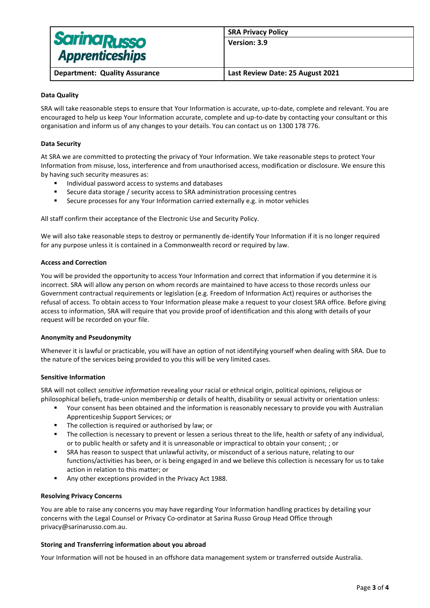| <b>Sarina Russo</b>                  | <b>SRA Privacy Policy</b>        |
|--------------------------------------|----------------------------------|
|                                      | Version: 3.9                     |
| <b>Apprenticeships</b>               |                                  |
|                                      |                                  |
| <b>Department: Quality Assurance</b> | Last Review Date: 25 August 2021 |

### **Data Quality**

SRA will take reasonable steps to ensure that Your Information is accurate, up-to-date, complete and relevant. You are encouraged to help us keep Your Information accurate, complete and up-to-date by contacting your consultant or this organisation and inform us of any changes to your details. You can contact us on 1300 178 776.

## **Data Security**

At SRA we are committed to protecting the privacy of Your Information. We take reasonable steps to protect Your Information from misuse, loss, interference and from unauthorised access, modification or disclosure. We ensure this by having such security measures as:

- Individual password access to systems and databases
- Secure data storage / security access to SRA administration processing centres
- Secure processes for any Your Information carried externally e.g. in motor vehicles

All staff confirm their acceptance of the Electronic Use and Security Policy.

We will also take reasonable steps to destroy or permanently de-identify Your Information if it is no longer required for any purpose unless it is contained in a Commonwealth record or required by law.

#### **Access and Correction**

You will be provided the opportunity to access Your Information and correct that information if you determine it is incorrect. SRA will allow any person on whom records are maintained to have access to those records unless our Government contractual requirements or legislation (e.g. Freedom of Information Act) requires or authorises the refusal of access. To obtain access to Your Information please make a request to your closest SRA office. Before giving access to information, SRA will require that you provide proof of identification and this along with details of your request will be recorded on your file.

#### **Anonymity and Pseudonymity**

Whenever it is lawful or practicable, you will have an option of not identifying yourself when dealing with SRA. Due to the nature of the services being provided to you this will be very limited cases.

#### **Sensitive Information**

SRA will not collect *sensitive information* revealing your racial or ethnical origin, political opinions, religious or philosophical beliefs, trade-union membership or details of health, disability or sexual activity or orientation unless:

- Your consent has been obtained and the information is reasonably necessary to provide you with Australian Apprenticeship Support Services; or
- The collection is required or authorised by law: or
- The collection is necessary to prevent or lessen a serious threat to the life, health or safety of any individual, or to public health or safety and it is unreasonable or impractical to obtain your consent; ; or
- SRA has reason to suspect that unlawful activity, or misconduct of a serious nature, relating to our functions/activities has been, or is being engaged in and we believe this collection is necessary for us to take action in relation to this matter; or
- Any other exceptions provided in the Privacy Act 1988.

#### **Resolving Privacy Concerns**

You are able to raise any concerns you may have regarding Your Information handling practices by detailing your concerns with the Legal Counsel or Privacy Co-ordinator at Sarina Russo Group Head Office through privacy@sarinarusso.com.au.

#### **Storing and Transferring information about you abroad**

Your Information will not be housed in an offshore data management system or transferred outside Australia.